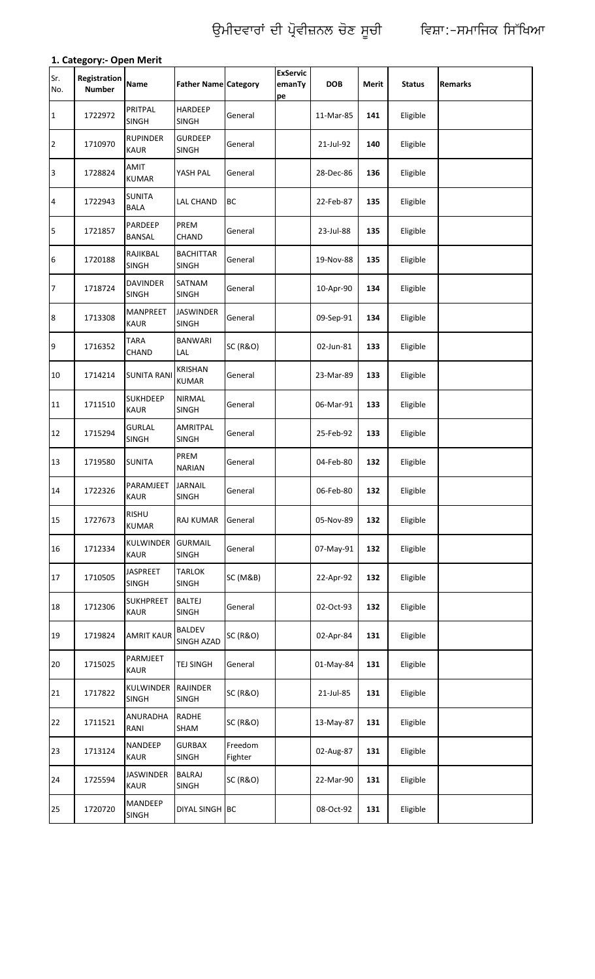|                | 1. Category:- Open Merit             |                                 |                                  |                     |                                 |            |              |               |                |  |  |  |
|----------------|--------------------------------------|---------------------------------|----------------------------------|---------------------|---------------------------------|------------|--------------|---------------|----------------|--|--|--|
| Sr.<br>No.     | <b>Registration</b><br><b>Number</b> | <b>Name</b>                     | <b>Father Name Category</b>      |                     | <b>ExServic</b><br>emanTy<br>pe | <b>DOB</b> | <b>Merit</b> | <b>Status</b> | <b>Remarks</b> |  |  |  |
| $\mathbf{1}$   | 1722972                              | PRITPAL<br><b>SINGH</b>         | <b>HARDEEP</b><br><b>SINGH</b>   | General             |                                 | 11-Mar-85  | 141          | Eligible      |                |  |  |  |
| $\overline{2}$ | 1710970                              | <b>RUPINDER</b><br><b>KAUR</b>  | <b>GURDEEP</b><br><b>SINGH</b>   | General             |                                 | 21-Jul-92  | 140          | Eligible      |                |  |  |  |
| 3              | 1728824                              | AMIT<br><b>KUMAR</b>            | YASH PAL                         | General             |                                 | 28-Dec-86  | 136          | Eligible      |                |  |  |  |
| 4              | 1722943                              | <b>SUNITA</b><br><b>BALA</b>    | <b>LAL CHAND</b>                 | BC                  |                                 | 22-Feb-87  | 135          | Eligible      |                |  |  |  |
| 5              | 1721857                              | PARDEEP<br><b>BANSAL</b>        | PREM<br>CHAND                    | General             |                                 | 23-Jul-88  | 135          | Eligible      |                |  |  |  |
| 6              | 1720188                              | RAJIKBAL<br><b>SINGH</b>        | <b>BACHITTAR</b><br><b>SINGH</b> | General             |                                 | 19-Nov-88  | 135          | Eligible      |                |  |  |  |
| 7              | 1718724                              | <b>DAVINDER</b><br><b>SINGH</b> | SATNAM<br><b>SINGH</b>           | General             |                                 | 10-Apr-90  | 134          | Eligible      |                |  |  |  |
| 8              | 1713308                              | MANPREET<br><b>KAUR</b>         | <b>JASWINDER</b><br><b>SINGH</b> | General             |                                 | 09-Sep-91  | 134          | Eligible      |                |  |  |  |
| 9              | 1716352                              | <b>TARA</b><br>CHAND            | <b>BANWARI</b><br>LAL            | <b>SC (R&amp;O)</b> |                                 | 02-Jun-81  | 133          | Eligible      |                |  |  |  |
| 10             | 1714214                              | <b>SUNITA RANI</b>              | <b>KRISHAN</b><br><b>KUMAR</b>   | General             |                                 | 23-Mar-89  | 133          | Eligible      |                |  |  |  |
| 11             | 1711510                              | <b>SUKHDEEP</b><br>KAUR         | <b>NIRMAL</b><br>SINGH           | General             |                                 | 06-Mar-91  | 133          | Eligible      |                |  |  |  |
| 12             | 1715294                              | <b>GURLAL</b><br><b>SINGH</b>   | AMRITPAL<br><b>SINGH</b>         | General             |                                 | 25-Feb-92  | 133          | Eligible      |                |  |  |  |
| 13             | 1719580                              | <b>SUNITA</b>                   | PREM<br><b>NARIAN</b>            | General             |                                 | 04-Feb-80  | 132          | Eligible      |                |  |  |  |
| 14             | 1722326                              | PARAMJEET<br><b>KAUR</b>        | <b>JARNAIL</b><br>SINGH          | General             |                                 | 06-Feb-80  | 132          | Eligible      |                |  |  |  |
| 15             | 1727673                              | <b>RISHU</b><br><b>KUMAR</b>    | <b>RAJ KUMAR</b>                 | General             |                                 | 05-Nov-89  | 132          | Eligible      |                |  |  |  |
| 16             | 1712334                              | KULWINDER<br><b>KAUR</b>        | <b>GURMAIL</b><br>SINGH          | General             |                                 | 07-May-91  | 132          | Eligible      |                |  |  |  |
| 17             | 1710505                              | <b>JASPREET</b><br>SINGH        | <b>TARLOK</b><br>SINGH           | SC (M&B)            |                                 | 22-Apr-92  | 132          | Eligible      |                |  |  |  |
| 18             | 1712306                              | <b>SUKHPREET</b><br><b>KAUR</b> | <b>BALTEJ</b><br>SINGH           | General             |                                 | 02-Oct-93  | 132          | Eligible      |                |  |  |  |
| 19             | 1719824                              | <b>AMRIT KAUR</b>               | <b>BALDEV</b><br>SINGH AZAD      | <b>SC (R&amp;O)</b> |                                 | 02-Apr-84  | 131          | Eligible      |                |  |  |  |
| 20             | 1715025                              | PARMJEET<br><b>KAUR</b>         | TEJ SINGH                        | General             |                                 | 01-May-84  | 131          | Eligible      |                |  |  |  |
| 21             | 1717822                              | KULWINDER<br>SINGH              | <b>RAJINDER</b><br>SINGH         | <b>SC (R&amp;O)</b> |                                 | 21-Jul-85  | 131          | Eligible      |                |  |  |  |
| 22             | 1711521                              | ANURADHA<br>RANI                | RADHE<br>SHAM                    | <b>SC (R&amp;O)</b> |                                 | 13-May-87  | 131          | Eligible      |                |  |  |  |
| 23             | 1713124                              | NANDEEP<br><b>KAUR</b>          | <b>GURBAX</b><br>SINGH           | Freedom<br>Fighter  |                                 | 02-Aug-87  | 131          | Eligible      |                |  |  |  |
| 24             | 1725594                              | <b>JASWINDER</b><br><b>KAUR</b> | <b>BALRAJ</b><br>SINGH           | <b>SC (R&amp;O)</b> |                                 | 22-Mar-90  | 131          | Eligible      |                |  |  |  |
| 25             | 1720720                              | <b>MANDEEP</b><br><b>SINGH</b>  | DIYAL SINGH BC                   |                     |                                 | 08-Oct-92  | 131          | Eligible      |                |  |  |  |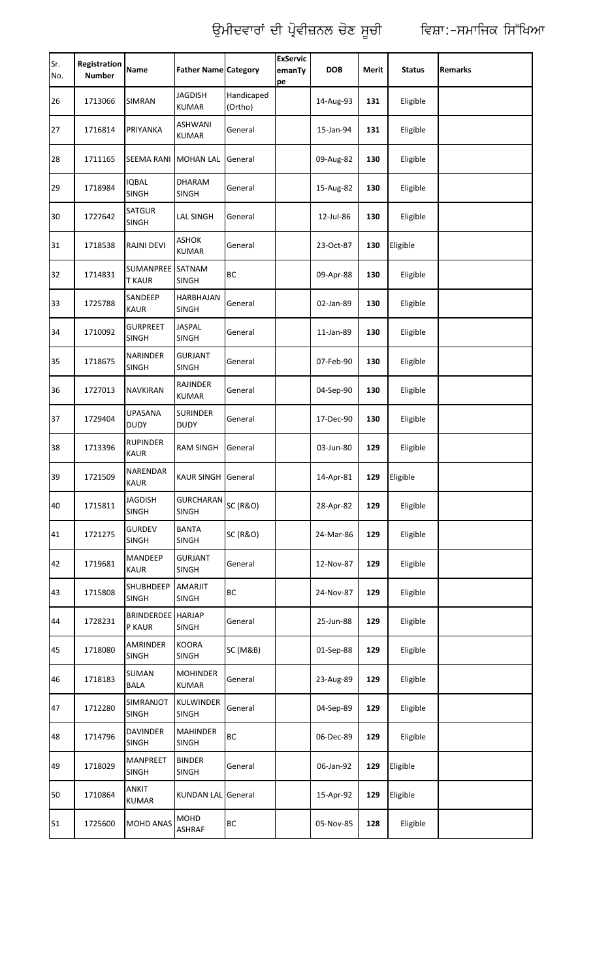| Sr.<br>No. | Registration<br><b>Number</b> | Name                              | <b>Father Name Category</b>      |                       | <b>ExServic</b><br>emanTy<br>pe | <b>DOB</b> | <b>Merit</b> | <b>Status</b> | <b>Remarks</b> |
|------------|-------------------------------|-----------------------------------|----------------------------------|-----------------------|---------------------------------|------------|--------------|---------------|----------------|
| 26         | 1713066                       | <b>SIMRAN</b>                     | <b>JAGDISH</b><br><b>KUMAR</b>   | Handicaped<br>(Ortho) |                                 | 14-Aug-93  | 131          | Eligible      |                |
| 27         | 1716814                       | PRIYANKA                          | <b>ASHWANI</b><br><b>KUMAR</b>   | General               |                                 | 15-Jan-94  | 131          | Eligible      |                |
| 28         | 1711165                       | SEEMA RANI                        | <b>MOHAN LAL</b>                 | General               |                                 | 09-Aug-82  | 130          | Eligible      |                |
| 29         | 1718984                       | <b>IQBAL</b><br><b>SINGH</b>      | <b>DHARAM</b><br><b>SINGH</b>    | General               |                                 | 15-Aug-82  | 130          | Eligible      |                |
| 30         | 1727642                       | <b>SATGUR</b><br>SINGH            | <b>LAL SINGH</b>                 | General               |                                 | 12-Jul-86  | 130          | Eligible      |                |
| 31         | 1718538                       | <b>RAJNI DEVI</b>                 | <b>ASHOK</b><br><b>KUMAR</b>     | General               |                                 | 23-Oct-87  | 130          | Eligible      |                |
| 32         | 1714831                       | SUMANPREE SATNAM<br><b>T KAUR</b> | <b>SINGH</b>                     | BC                    |                                 | 09-Apr-88  | 130          | Eligible      |                |
| 33         | 1725788                       | SANDEEP<br><b>KAUR</b>            | HARBHAJAN<br><b>SINGH</b>        | General               |                                 | 02-Jan-89  | 130          | Eligible      |                |
| 34         | 1710092                       | <b>GURPREET</b><br><b>SINGH</b>   | <b>JASPAL</b><br>SINGH           | General               |                                 | 11-Jan-89  | 130          | Eligible      |                |
| 35         | 1718675                       | <b>NARINDER</b><br><b>SINGH</b>   | <b>GURJANT</b><br><b>SINGH</b>   | General               |                                 | 07-Feb-90  | 130          | Eligible      |                |
| 36         | 1727013                       | <b>NAVKIRAN</b>                   | RAJINDER<br><b>KUMAR</b>         | General               |                                 | 04-Sep-90  | 130          | Eligible      |                |
| 37         | 1729404                       | <b>UPASANA</b><br><b>DUDY</b>     | <b>SURINDER</b><br><b>DUDY</b>   | General               |                                 | 17-Dec-90  | 130          | Eligible      |                |
| 38         | 1713396                       | <b>RUPINDER</b><br><b>KAUR</b>    | <b>RAM SINGH</b>                 | General               |                                 | 03-Jun-80  | 129          | Eligible      |                |
| 39         | 1721509                       | NARENDAR<br><b>KAUR</b>           | KAUR SINGH General               |                       |                                 | 14-Apr-81  | 129          | Eligible      |                |
| 40         | 1715811                       | <b>JAGDISH</b><br><b>SINGH</b>    | <b>GURCHARAN</b><br><b>SINGH</b> | <b>SC (R&amp;O)</b>   |                                 | 28-Apr-82  | 129          | Eligible      |                |
| 41         | 1721275                       | <b>GURDEV</b><br><b>SINGH</b>     | <b>BANTA</b><br>SINGH            | <b>SC (R&amp;O)</b>   |                                 | 24-Mar-86  | 129          | Eligible      |                |
| 42         | 1719681                       | <b>MANDEEP</b><br><b>KAUR</b>     | <b>GURJANT</b><br>SINGH          | General               |                                 | 12-Nov-87  | 129          | Eligible      |                |
| 43         | 1715808                       | <b>SHUBHDEEP</b><br><b>SINGH</b>  | AMARJIT<br>SINGH                 | BC                    |                                 | 24-Nov-87  | 129          | Eligible      |                |
| 44         | 1728231                       | <b>BRINDERDEE</b><br>P KAUR       | <b>HARJAP</b><br>SINGH           | General               |                                 | 25-Jun-88  | 129          | Eligible      |                |
| 45         | 1718080                       | AMRINDER<br><b>SINGH</b>          | <b>KOORA</b><br>SINGH            | SC (M&B)              |                                 | 01-Sep-88  | 129          | Eligible      |                |
| 46         | 1718183                       | <b>SUMAN</b><br><b>BALA</b>       | <b>MOHINDER</b><br>KUMAR         | General               |                                 | 23-Aug-89  | 129          | Eligible      |                |
| 47         | 1712280                       | SIMRANJOT<br><b>SINGH</b>         | KULWINDER<br>SINGH               | General               |                                 | 04-Sep-89  | 129          | Eligible      |                |
| 48         | 1714796                       | <b>DAVINDER</b><br><b>SINGH</b>   | <b>MAHINDER</b><br>SINGH         | ВC                    |                                 | 06-Dec-89  | 129          | Eligible      |                |
| 49         | 1718029                       | MANPREET<br><b>SINGH</b>          | <b>BINDER</b><br>SINGH           | General               |                                 | 06-Jan-92  | 129          | Eligible      |                |
| 50         | 1710864                       | <b>ANKIT</b><br><b>KUMAR</b>      | <b>KUNDAN LAL</b> General        |                       |                                 | 15-Apr-92  | 129          | Eligible      |                |
| 51         | 1725600                       | <b>MOHD ANAS</b>                  | <b>MOHD</b><br><b>ASHRAF</b>     | ВC                    |                                 | 05-Nov-85  | 128          | Eligible      |                |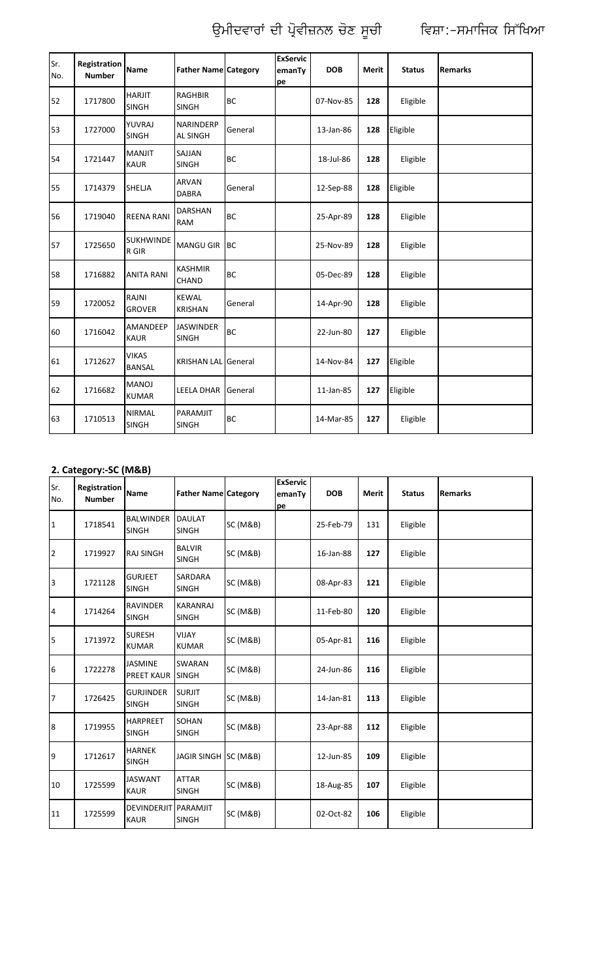| Sr.<br>No. | Registration<br><b>Number</b> | <b>Name</b>                   | <b>Father Name Category</b>      |           | <b>ExServic</b><br>emanTy<br>pe | <b>DOB</b> | <b>Merit</b> | <b>Status</b> | <b>Remarks</b> |
|------------|-------------------------------|-------------------------------|----------------------------------|-----------|---------------------------------|------------|--------------|---------------|----------------|
| 52         | 1717800                       | <b>HARJIT</b><br>SINGH        | <b>RAGHBIR</b><br><b>SINGH</b>   | BC        |                                 | 07-Nov-85  | 128          | Eligible      |                |
| 53         | 1727000                       | YUVRAJ<br>SINGH               | <b>NARINDERP</b><br>AL SINGH     | General   |                                 | 13-Jan-86  | 128          | Eligible      |                |
| 54         | 1721447                       | MANJIT<br><b>KAUR</b>         | SAJJAN<br><b>SINGH</b>           | ВC        |                                 | 18-Jul-86  | 128          | Eligible      |                |
| 55         | 1714379                       | <b>SHELJA</b>                 | <b>ARVAN</b><br><b>DABRA</b>     | General   |                                 | 12-Sep-88  | 128          | Eligible      |                |
| 56         | 1719040                       | <b>REENA RANI</b>             | DARSHAN<br>RAM                   | BC        |                                 | 25-Apr-89  | 128          | Eligible      |                |
| 57         | 1725650                       | <b>SUKHWINDE</b><br>R GIR     | <b>MANGU GIR</b>                 | <b>BC</b> |                                 | 25-Nov-89  | 128          | Eligible      |                |
| 58         | 1716882                       | <b>ANITA RANI</b>             | <b>KASHMIR</b><br>CHAND          | BC        |                                 | 05-Dec-89  | 128          | Eligible      |                |
| 59         | 1720052                       | RAJNI<br><b>GROVER</b>        | <b>KEWAL</b><br><b>KRISHAN</b>   | General   |                                 | 14-Apr-90  | 128          | Eligible      |                |
| 60         | 1716042                       | AMANDEEP<br><b>KAUR</b>       | <b>JASWINDER</b><br><b>SINGH</b> | BC        |                                 | 22-Jun-80  | 127          | Eligible      |                |
| 61         | 1712627                       | <b>VIKAS</b><br><b>BANSAL</b> | <b>KRISHAN LAL General</b>       |           |                                 | 14-Nov-84  | 127          | Eligible      |                |
| 62         | 1716682                       | <b>MANOJ</b><br><b>KUMAR</b>  | LEELA DHAR                       | General   |                                 | 11-Jan-85  | 127          | Eligible      |                |
| 63         | 1710513                       | <b>NIRMAL</b><br><b>SINGH</b> | PARAMJIT<br><b>SINGH</b>         | <b>BC</b> |                                 | 14-Mar-85  | 127          | Eligible      |                |

### **2. Category:-SC (M&B)**

| Sr.<br>No.     | Registration<br><b>Number</b> | Name                             | <b>Father Name Category</b>     |                     | <b>ExServic</b><br>emanTy<br>pe | <b>DOB</b> | <b>Merit</b> | <b>Status</b> | <b>Remarks</b> |
|----------------|-------------------------------|----------------------------------|---------------------------------|---------------------|---------------------------------|------------|--------------|---------------|----------------|
| 1              | 1718541                       | <b>BALWINDER</b><br><b>SINGH</b> | <b>DAULAT</b><br><b>SINGH</b>   | <b>SC (M&amp;B)</b> |                                 | 25-Feb-79  | 131          | Eligible      |                |
| $\overline{2}$ | 1719927                       | <b>RAJ SINGH</b>                 | <b>BALVIR</b><br>SINGH          | <b>SC (M&amp;B)</b> |                                 | 16-Jan-88  | 127          | Eligible      |                |
| $\overline{3}$ | 1721128                       | <b>GURJEET</b><br>SINGH          | SARDARA<br>SINGH                | <b>SC (M&amp;B)</b> |                                 | 08-Apr-83  | 121          | Eligible      |                |
| $\overline{4}$ | 1714264                       | <b>RAVINDER</b><br>SINGH         | <b>KARANRAJ</b><br>SINGH        | <b>SC (M&amp;B)</b> |                                 | 11-Feb-80  | 120          | Eligible      |                |
| 5              | 1713972                       | <b>SURESH</b><br><b>KUMAR</b>    | VIJAY<br><b>KUMAR</b>           | <b>SC (M&amp;B)</b> |                                 | 05-Apr-81  | 116          | Eligible      |                |
| 6              | 1722278                       | <b>JASMINE</b><br>PREET KAUR     | <b>SWARAN</b><br><b>SINGH</b>   | <b>SC (M&amp;B)</b> |                                 | 24-Jun-86  | 116          | Eligible      |                |
| 7              | 1726425                       | <b>GURJINDER</b><br><b>SINGH</b> | <b>SURJIT</b><br>SINGH          | SC (M&B)            |                                 | 14-Jan-81  | 113          | Eligible      |                |
| 8              | 1719955                       | <b>HARPREET</b><br><b>SINGH</b>  | SOHAN<br><b>SINGH</b>           | <b>SC (M&amp;B)</b> |                                 | 23-Apr-88  | 112          | Eligible      |                |
| 9              | 1712617                       | <b>HARNEK</b><br><b>SINGH</b>    | JAGIR SINGH                     | <b>SC (M&amp;B)</b> |                                 | 12-Jun-85  | 109          | Eligible      |                |
| 10             | 1725599                       | <b>JASWANT</b><br><b>KAUR</b>    | <b>ATTAR</b><br>SINGH           | <b>SC (M&amp;B)</b> |                                 | 18-Aug-85  | 107          | Eligible      |                |
| 11             | 1725599                       | DEVINDERJIT<br><b>KAUR</b>       | <b>PARAMJIT</b><br><b>SINGH</b> | SC (M&B)            |                                 | 02-Oct-82  | 106          | Eligible      |                |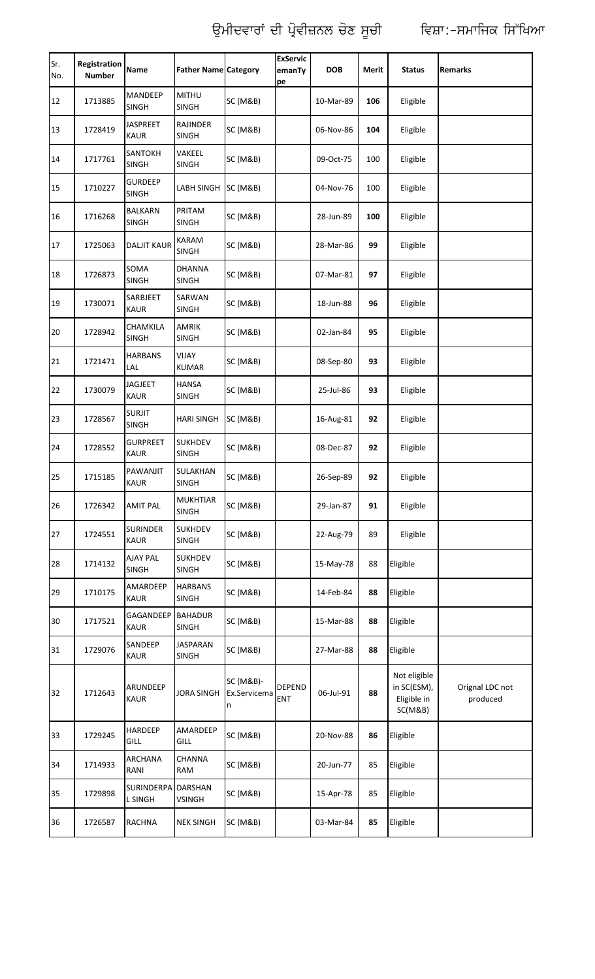| Sr.<br>No. | Registration<br><b>Number</b> | Name                            | <b>Father Name Category</b>     |                                | <b>ExServic</b><br>emanTy<br>pe | <b>DOB</b> | Merit | <b>Status</b>                                         | <b>Remarks</b>              |
|------------|-------------------------------|---------------------------------|---------------------------------|--------------------------------|---------------------------------|------------|-------|-------------------------------------------------------|-----------------------------|
| 12         | 1713885                       | <b>MANDEEP</b><br><b>SINGH</b>  | <b>MITHU</b><br><b>SINGH</b>    | SC (M&B)                       |                                 | 10-Mar-89  | 106   | Eligible                                              |                             |
| 13         | 1728419                       | <b>JASPREET</b><br><b>KAUR</b>  | <b>RAJINDER</b><br><b>SINGH</b> | SC (M&B)                       |                                 | 06-Nov-86  | 104   | Eligible                                              |                             |
| 14         | 1717761                       | SANTOKH<br><b>SINGH</b>         | VAKEEL<br><b>SINGH</b>          | SC (M&B)                       |                                 | 09-Oct-75  | 100   | Eligible                                              |                             |
| 15         | 1710227                       | <b>GURDEEP</b><br><b>SINGH</b>  | LABH SINGH                      | SC (M&B)                       |                                 | 04-Nov-76  | 100   | Eligible                                              |                             |
| 16         | 1716268                       | <b>BALKARN</b><br><b>SINGH</b>  | PRITAM<br>SINGH                 | SC (M&B)                       |                                 | 28-Jun-89  | 100   | Eligible                                              |                             |
| 17         | 1725063                       | <b>DALJIT KAUR</b>              | <b>KARAM</b><br><b>SINGH</b>    | SC (M&B)                       |                                 | 28-Mar-86  | 99    | Eligible                                              |                             |
| 18         | 1726873                       | SOMA<br><b>SINGH</b>            | <b>DHANNA</b><br>SINGH          | SC (M&B)                       |                                 | 07-Mar-81  | 97    | Eligible                                              |                             |
| 19         | 1730071                       | SARBJEET<br><b>KAUR</b>         | SARWAN<br>SINGH                 | SC (M&B)                       |                                 | 18-Jun-88  | 96    | Eligible                                              |                             |
| 20         | 1728942                       | CHAMKILA<br><b>SINGH</b>        | <b>AMRIK</b><br><b>SINGH</b>    | SC (M&B)                       |                                 | 02-Jan-84  | 95    | Eligible                                              |                             |
| 21         | 1721471                       | <b>HARBANS</b><br>LAL           | VIJAY<br><b>KUMAR</b>           | SC (M&B)                       |                                 | 08-Sep-80  | 93    | Eligible                                              |                             |
| 22         | 1730079                       | <b>JAGJEET</b><br><b>KAUR</b>   | <b>HANSA</b><br>SINGH           | SC (M&B)                       |                                 | 25-Jul-86  | 93    | Eligible                                              |                             |
| 23         | 1728567                       | <b>SURJIT</b><br><b>SINGH</b>   | <b>HARI SINGH</b>               | SC (M&B)                       |                                 | 16-Aug-81  | 92    | Eligible                                              |                             |
| 24         | 1728552                       | <b>GURPREET</b><br><b>KAUR</b>  | <b>SUKHDEV</b><br><b>SINGH</b>  | SC (M&B)                       |                                 | 08-Dec-87  | 92    | Eligible                                              |                             |
| 25         | 1715185                       | <b>PAWANJIT</b><br><b>KAUR</b>  | SULAKHAN<br><b>SINGH</b>        | SC (M&B)                       |                                 | 26-Sep-89  | 92    | Eligible                                              |                             |
| 26         | 1726342                       | <b>AMIT PAL</b>                 | <b>MUKHTIAR</b><br><b>SINGH</b> | SC (M&B)                       |                                 | 29-Jan-87  | 91    | Eligible                                              |                             |
| 27         | 1724551                       | <b>SURINDER</b><br><b>KAUR</b>  | <b>SUKHDEV</b><br><b>SINGH</b>  | <b>SC (M&amp;B)</b>            |                                 | 22-Aug-79  | 89    | Eligible                                              |                             |
| 28         | 1714132                       | <b>AJAY PAL</b><br><b>SINGH</b> | <b>SUKHDEV</b><br>SINGH         | SC (M&B)                       |                                 | 15-May-78  | 88    | Eligible                                              |                             |
| 29         | 1710175                       | AMARDEEP<br><b>KAUR</b>         | <b>HARBANS</b><br>SINGH         | SC (M&B)                       |                                 | 14-Feb-84  | 88    | Eligible                                              |                             |
| 30         | 1717521                       | GAGANDEEP<br><b>KAUR</b>        | <b>BAHADUR</b><br>SINGH         | SC (M&B)                       |                                 | 15-Mar-88  | 88    | Eligible                                              |                             |
| 31         | 1729076                       | SANDEEP<br><b>KAUR</b>          | <b>JASPARAN</b><br>SINGH        | <b>SC (M&amp;B)</b>            |                                 | 27-Mar-88  | 88    | Eligible                                              |                             |
| 32         | 1712643                       | <b>ARUNDEEP</b><br><b>KAUR</b>  | <b>JORA SINGH</b>               | SC (M&B)-<br>Ex.Servicema<br>n | <b>DEPEND</b><br>ENT            | 06-Jul-91  | 88    | Not eligible<br>in SC(ESM),<br>Eligible in<br>SC(M&B) | Orignal LDC not<br>produced |
| 33         | 1729245                       | <b>HARDEEP</b><br>GILL          | AMARDEEP<br><b>GILL</b>         | SC (M&B)                       |                                 | 20-Nov-88  | 86    | Eligible                                              |                             |
| 34         | 1714933                       | ARCHANA<br>RANI                 | <b>CHANNA</b><br>RAM            | SC (M&B)                       |                                 | 20-Jun-77  | 85    | Eligible                                              |                             |
| 35         | 1729898                       | SURINDERPA<br>L SINGH           | <b>DARSHAN</b><br><b>VSINGH</b> | SC (M&B)                       |                                 | 15-Apr-78  | 85    | Eligible                                              |                             |
| 36         | 1726587                       | <b>RACHNA</b>                   | <b>NEK SINGH</b>                | <b>SC (M&amp;B)</b>            |                                 | 03-Mar-84  | 85    | Eligible                                              |                             |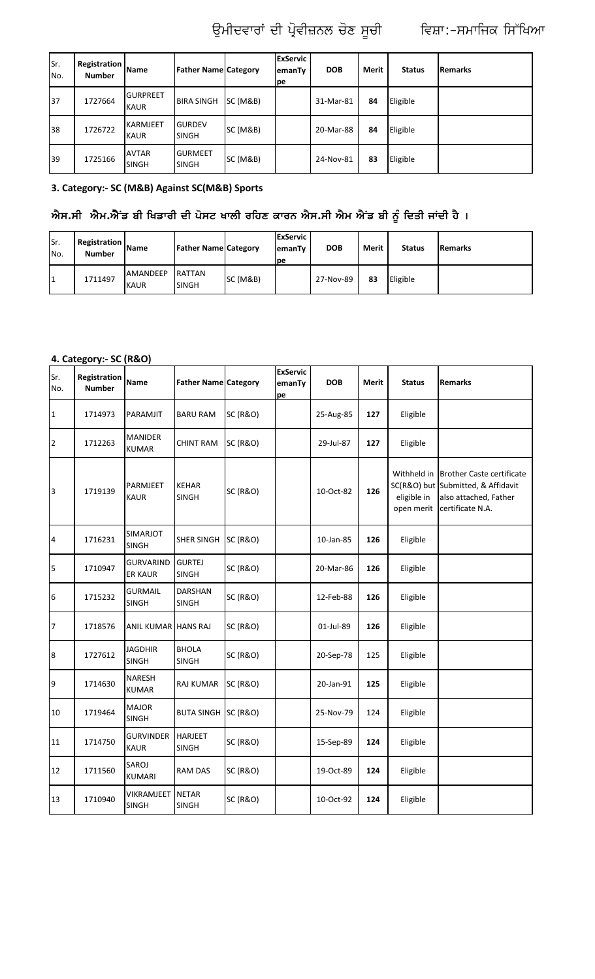| lSr.<br>No. | <b>Registration</b><br><b>Number</b> | <b>Name</b>                      | <b>Father Name Category</b>    |          | <b>ExServic</b><br>emanTy<br>pe | <b>DOB</b> | <b>Merit</b> | <b>Status</b> | <b>Remarks</b> |
|-------------|--------------------------------------|----------------------------------|--------------------------------|----------|---------------------------------|------------|--------------|---------------|----------------|
| 37          | 1727664                              | <b>GURPREET</b><br><b>IKAUR</b>  | <b>BIRA SINGH</b>              | SC(M&B)  |                                 | 31-Mar-81  | 84           | Eligible      |                |
| 38          | 1726722                              | <b>IKARMJEET</b><br><b>IKAUR</b> | <b>GURDEV</b><br><b>SINGH</b>  | SC (M&B) |                                 | 20-Mar-88  | 84           | Eligible      |                |
| 39          | 1725166                              | <b>JAVTAR</b><br><b>SINGH</b>    | <b>GURMEET</b><br><b>SINGH</b> | SC (M&B) |                                 | 24-Nov-81  | 83           | Eligible      |                |

#### **3. Category:- SC (M&B) Against SC(M&B) Sports**

## ਐਸ.ਸੀ ਐਮ.ਐਂਡ ਬੀ ਖਿਡਾਰੀ ਦੀ ਪੋਸਟ ਖਾਲੀ ਰਹਿਣ ਕਾਰਨ ਐਸ.ਸੀ ਐਮ ਐਂਡ ਬੀ ਨੂੰ ਦਿਤੀ ਜਾਂਦੀ ਹੈ ।

| Sr.<br>No. | <b>Registration</b><br><b>Number</b> | <b>I</b> Name                  | <b>Father Name Category</b> |                     | <b>IExServic</b><br>lemanTv<br><b>Ipe</b> | <b>DOB</b> | Merit | <b>Status</b> | <b>IRemarks</b> |
|------------|--------------------------------------|--------------------------------|-----------------------------|---------------------|-------------------------------------------|------------|-------|---------------|-----------------|
| ا 1        | 1711497                              | <b>AMANDEEP</b><br><b>KAUR</b> | <b>RATTAN</b><br>SINGH      | <b>SC (M&amp;B)</b> |                                           | 27-Nov-89  | 83    | Eligible      |                 |

#### **4. Category:- SC (R&O)**

| Sr.<br>No.              | Registration<br><b>Number</b> | Name                               | <b>Father Name Category</b>    |                     | <b>ExServic</b><br>emanTy<br>pe | <b>DOB</b> | Merit | <b>Status</b>                            | Remarks                                                                                                             |
|-------------------------|-------------------------------|------------------------------------|--------------------------------|---------------------|---------------------------------|------------|-------|------------------------------------------|---------------------------------------------------------------------------------------------------------------------|
| $\mathbf{1}$            | 1714973                       | PARAMJIT                           | <b>BARU RAM</b>                | <b>SC (R&amp;O)</b> |                                 | 25-Aug-85  | 127   | Eligible                                 |                                                                                                                     |
| $\overline{2}$          | 1712263                       | <b>MANIDER</b><br><b>KUMAR</b>     | CHINT RAM                      | <b>SC (R&amp;O)</b> |                                 | 29-Jul-87  | 127   | Eligible                                 |                                                                                                                     |
| 3                       | 1719139                       | PARMJEET<br><b>KAUR</b>            | <b>KEHAR</b><br><b>SINGH</b>   | <b>SC (R&amp;O)</b> |                                 | 10-Oct-82  | 126   | Withheld in<br>eligible in<br>open merit | <b>Brother Caste certificate</b><br>SC(R&O) but Submitted, & Affidavit<br>also attached, Father<br>certificate N.A. |
| $\overline{\mathbf{4}}$ | 1716231                       | SIMARJOT<br><b>SINGH</b>           | <b>SHER SINGH</b>              | <b>SC (R&amp;O)</b> |                                 | 10-Jan-85  | 126   | Eligible                                 |                                                                                                                     |
| 5                       | 1710947                       | <b>GURVARIND</b><br><b>ER KAUR</b> | <b>GURTEJ</b><br><b>SINGH</b>  | <b>SC (R&amp;O)</b> |                                 | 20-Mar-86  | 126   | Eligible                                 |                                                                                                                     |
| $\sqrt{6}$              | 1715232                       | <b>GURMAIL</b><br><b>SINGH</b>     | <b>DARSHAN</b><br><b>SINGH</b> | <b>SC (R&amp;O)</b> |                                 | 12-Feb-88  | 126   | Eligible                                 |                                                                                                                     |
| 7                       | 1718576                       | ANIL KUMAR HANS RAJ                |                                | <b>SC (R&amp;O)</b> |                                 | 01-Jul-89  | 126   | Eligible                                 |                                                                                                                     |
| $\boldsymbol{8}$        | 1727612                       | <b>JAGDHIR</b><br><b>SINGH</b>     | <b>BHOLA</b><br><b>SINGH</b>   | <b>SC (R&amp;O)</b> |                                 | 20-Sep-78  | 125   | Eligible                                 |                                                                                                                     |
| $\overline{9}$          | 1714630                       | <b>NARESH</b><br><b>KUMAR</b>      | <b>RAJ KUMAR</b>               | <b>SC (R&amp;O)</b> |                                 | 20-Jan-91  | 125   | Eligible                                 |                                                                                                                     |
| 10                      | 1719464                       | <b>MAJOR</b><br><b>SINGH</b>       | <b>BUTA SINGH</b>              | <b>SC (R&amp;O)</b> |                                 | 25-Nov-79  | 124   | Eligible                                 |                                                                                                                     |
| 11                      | 1714750                       | <b>GURVINDER</b><br><b>KAUR</b>    | <b>HARJEET</b><br><b>SINGH</b> | <b>SC (R&amp;O)</b> |                                 | 15-Sep-89  | 124   | Eligible                                 |                                                                                                                     |
| 12                      | 1711560                       | SAROJ<br><b>KUMARI</b>             | <b>RAM DAS</b>                 | <b>SC (R&amp;O)</b> |                                 | 19-Oct-89  | 124   | Eligible                                 |                                                                                                                     |
| 13                      | 1710940                       | VIKRAMJEET<br><b>SINGH</b>         | <b>NETAR</b><br><b>SINGH</b>   | <b>SC (R&amp;O)</b> |                                 | 10-Oct-92  | 124   | Eligible                                 |                                                                                                                     |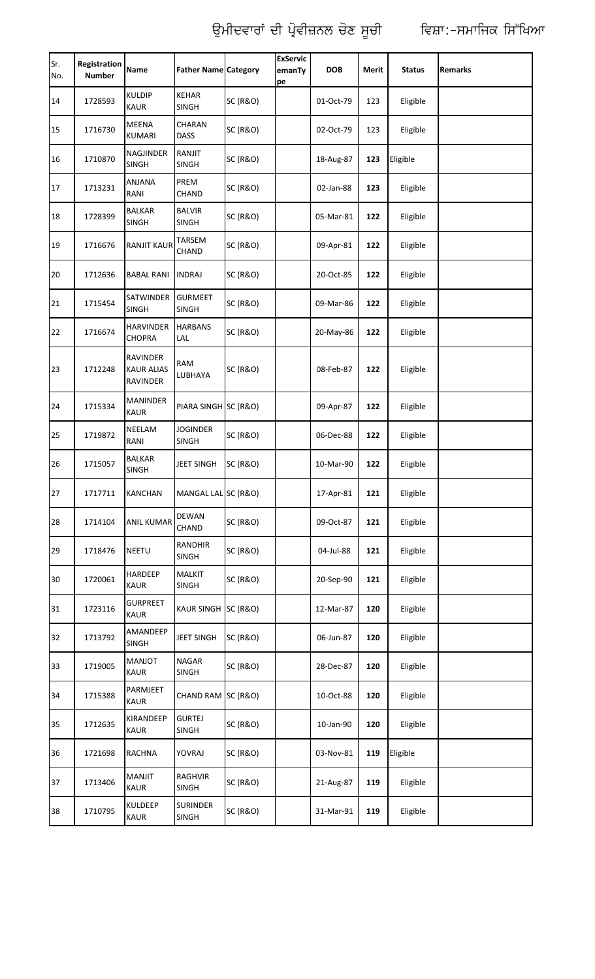| Sr.<br>No. | Registration<br><b>Number</b> | Name                                      | <b>Father Name Category</b>     |                     | <b>ExServic</b><br>emanTy<br>pe | <b>DOB</b> | <b>Merit</b> | <b>Status</b> | <b>Remarks</b> |
|------------|-------------------------------|-------------------------------------------|---------------------------------|---------------------|---------------------------------|------------|--------------|---------------|----------------|
| 14         | 1728593                       | <b>KULDIP</b><br><b>KAUR</b>              | <b>KEHAR</b><br><b>SINGH</b>    | <b>SC (R&amp;O)</b> |                                 | 01-Oct-79  | 123          | Eligible      |                |
| 15         | 1716730                       | MEENA<br><b>KUMARI</b>                    | CHARAN<br><b>DASS</b>           | <b>SC (R&amp;O)</b> |                                 | 02-Oct-79  | 123          | Eligible      |                |
| 16         | 1710870                       | NAGJINDER<br><b>SINGH</b>                 | RANJIT<br><b>SINGH</b>          | <b>SC (R&amp;O)</b> |                                 | 18-Aug-87  | 123          | Eligible      |                |
| 17         | 1713231                       | <b>ANJANA</b><br>RANI                     | PREM<br>CHAND                   | <b>SC (R&amp;O)</b> |                                 | 02-Jan-88  | 123          | Eligible      |                |
| 18         | 1728399                       | <b>BALKAR</b><br><b>SINGH</b>             | <b>BALVIR</b><br><b>SINGH</b>   | <b>SC (R&amp;O)</b> |                                 | 05-Mar-81  | 122          | Eligible      |                |
| 19         | 1716676                       | RANJIT KAUR                               | TARSEM<br>CHAND                 | <b>SC (R&amp;O)</b> |                                 | 09-Apr-81  | 122          | Eligible      |                |
| 20         | 1712636                       | BABAL RANI                                | <b>INDRAJ</b>                   | <b>SC (R&amp;O)</b> |                                 | 20-Oct-85  | 122          | Eligible      |                |
| 21         | 1715454                       | <b>SATWINDER</b><br><b>SINGH</b>          | <b>GURMEET</b><br><b>SINGH</b>  | <b>SC (R&amp;O)</b> |                                 | 09-Mar-86  | 122          | Eligible      |                |
| 22         | 1716674                       | HARVINDER<br><b>CHOPRA</b>                | <b>HARBANS</b><br>LAL           | <b>SC (R&amp;O)</b> |                                 | 20-May-86  | 122          | Eligible      |                |
| 23         | 1712248                       | RAVINDER<br><b>KAUR ALIAS</b><br>RAVINDER | <b>RAM</b><br>LUBHAYA           | <b>SC (R&amp;O)</b> |                                 | 08-Feb-87  | 122          | Eligible      |                |
| 24         | 1715334                       | MANINDER<br><b>KAUR</b>                   | PIARA SINGH SC (R&O)            |                     |                                 | 09-Apr-87  | 122          | Eligible      |                |
| 25         | 1719872                       | NEELAM<br>RANI                            | <b>JOGINDER</b><br><b>SINGH</b> | <b>SC (R&amp;O)</b> |                                 | 06-Dec-88  | 122          | Eligible      |                |
| 26         | 1715057                       | <b>BALKAR</b><br><b>SINGH</b>             | JEET SINGH                      | <b>SC (R&amp;O)</b> |                                 | 10-Mar-90  | 122          | Eligible      |                |
| 27         | 1717711                       | <b>KANCHAN</b>                            | MANGAL LAL SC (R&O)             |                     |                                 | 17-Apr-81  | 121          | Eligible      |                |
| 28         | 1714104                       | <b>ANIL KUMAR</b>                         | <b>DEWAN</b><br>CHAND           | <b>SC (R&amp;O)</b> |                                 | 09-Oct-87  | 121          | Eligible      |                |
| 29         | 1718476                       | NEETU                                     | <b>RANDHIR</b><br>SINGH         | <b>SC (R&amp;O)</b> |                                 | 04-Jul-88  | 121          | Eligible      |                |
| 30         | 1720061                       | HARDEEP<br>KAUR                           | <b>MALKIT</b><br>SINGH          | <b>SC (R&amp;O)</b> |                                 | 20-Sep-90  | 121          | Eligible      |                |
| 31         | 1723116                       | <b>GURPREET</b><br>KAUR                   | KAUR SINGH SC (R&O)             |                     |                                 | 12-Mar-87  | 120          | Eligible      |                |
| 32         | 1713792                       | AMANDEEP<br><b>SINGH</b>                  | <b>JEET SINGH</b>               | <b>SC (R&amp;O)</b> |                                 | 06-Jun-87  | 120          | Eligible      |                |
| 33         | 1719005                       | <b>MANJOT</b><br>KAUR                     | <b>NAGAR</b><br>SINGH           | <b>SC (R&amp;O)</b> |                                 | 28-Dec-87  | 120          | Eligible      |                |
| 34         | 1715388                       | PARMJEET<br>KAUR                          | CHAND RAM SC (R&O)              |                     |                                 | 10-Oct-88  | 120          | Eligible      |                |
| 35         | 1712635                       | KIRANDEEP<br>KAUR                         | <b>GURTEJ</b><br><b>SINGH</b>   | <b>SC (R&amp;O)</b> |                                 | 10-Jan-90  | 120          | Eligible      |                |
| 36         | 1721698                       | RACHNA                                    | YOVRAJ                          | <b>SC (R&amp;O)</b> |                                 | 03-Nov-81  | 119          | Eligible      |                |
| 37         | 1713406                       | MANJIT<br>KAUR                            | RAGHVIR<br>SINGH                | <b>SC (R&amp;O)</b> |                                 | 21-Aug-87  | 119          | Eligible      |                |
| 38         | 1710795                       | <b>KULDEEP</b><br>KAUR                    | <b>SURINDER</b><br>SINGH        | <b>SC (R&amp;O)</b> |                                 | 31-Mar-91  | 119          | Eligible      |                |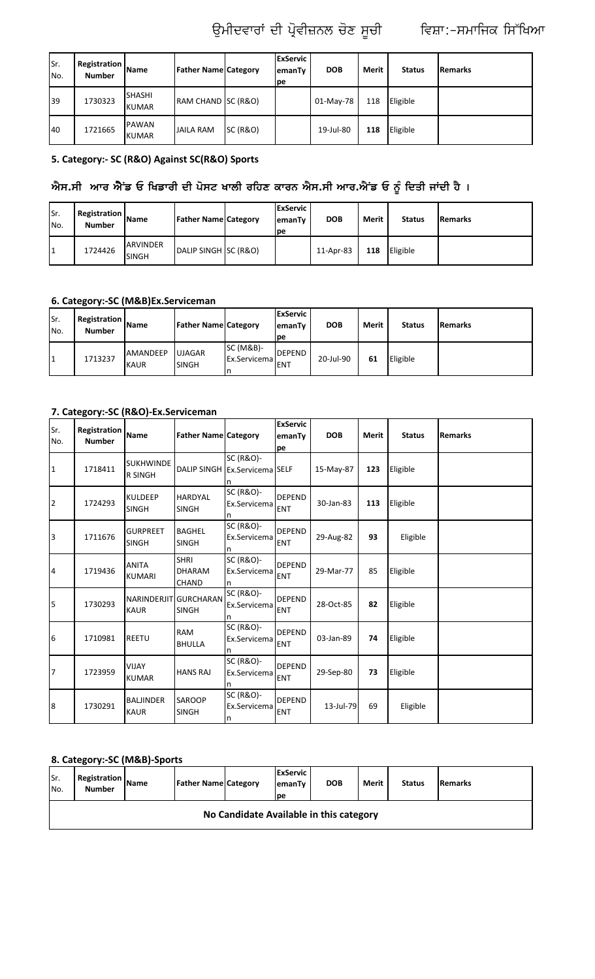| Sr.<br>No. | <b>Registration</b><br><b>Number</b> | <b>I</b> Name                  | <b>Father Name Category</b> |                     | <b>IExServic</b><br>emanTy<br>lpe | <b>DOB</b> | Merit | <b>Status</b> | <b>I</b> Remarks |
|------------|--------------------------------------|--------------------------------|-----------------------------|---------------------|-----------------------------------|------------|-------|---------------|------------------|
| 39         | 1730323                              | <b>SHASHI</b><br><b>IKUMAR</b> | RAM CHAND SC (R&O)          |                     |                                   | 01-May-78  | 118   | Eligible      |                  |
| 40         | 1721665                              | <b>PAWAN</b><br><b>KUMAR</b>   | <b>JAILA RAM</b>            | <b>SC (R&amp;O)</b> |                                   | 19-Jul-80  | 118   | Eligible      |                  |

#### **5. Category:- SC (R&O) Against SC(R&O) Sports**

### ਐਸ.ਸੀ ਆਰ ਐਂਡ ਓ ਖਿਡਾਰੀ ਦੀ ਪੋਸਟ ਖਾਲੀ ਰਹਿਣ ਕਾਰਨ ਐਸ.ਸੀ ਆਰ.ਐਂਡ ਓ ਨੂੰ ਦਿਤੀ ਜਾਂਦੀ ਹੈ ।

| lSr.<br>No. | <b>Registration</b><br><b>Number</b> | <b>I</b> Name            | <b>Father Name Category</b> | <b>IExServic</b><br>lemanTv<br>Ipe | <b>DOB</b> | Merit | <b>Status</b> | <b>Remarks</b> |
|-------------|--------------------------------------|--------------------------|-----------------------------|------------------------------------|------------|-------|---------------|----------------|
|             | 1724426                              | <b>ARVINDER</b><br>SINGH | DALIP SINGH SC (R&O)        |                                    | 11-Apr-83  | 118   | Eligible      |                |

#### **6. Category:-SC (M&B)Ex.Serviceman**

| lSr.<br>No.    | <b>Registration</b><br><b>Number</b> | <b>Name</b>                    | <b>Father Name Category</b>   |                                      | <b>IExServic</b><br><b>emanTy</b><br>Ipe | <b>DOB</b> | Merit | <b>Status</b> | l Remarks |
|----------------|--------------------------------------|--------------------------------|-------------------------------|--------------------------------------|------------------------------------------|------------|-------|---------------|-----------|
| $\overline{1}$ | 1713237                              | <b>AMANDEEP</b><br><b>KAUR</b> | <b>UJAGAR</b><br><b>SINGH</b> | <b>SC (M&amp;B)-</b><br>Ex.Servicema | <b>DEPEND</b><br><b>ENT</b>              | 20-Jul-90  | 61    | Eligible      |           |

### **7. Category:-SC (R&O)-Ex.Serviceman**

| Sr.<br>No.       | Registration<br><b>Number</b> | Name                                        | <b>Father Name Category</b>                  |                                                            | <b>ExServic</b><br>emanTy<br>pe | <b>DOB</b> | <b>Merit</b> | <b>Status</b> | <b>Remarks</b> |
|------------------|-------------------------------|---------------------------------------------|----------------------------------------------|------------------------------------------------------------|---------------------------------|------------|--------------|---------------|----------------|
| 1                | 1718411                       | <b>SUKHWINDE</b><br><b>R SINGH</b>          |                                              | <b>SC (R&amp;O)-</b><br>DALIP SINGH Ex.Servicema SELF<br>n |                                 | 15-May-87  | 123          | Eligible      |                |
| $\overline{2}$   | 1724293                       | <b>KULDEEP</b><br><b>SINGH</b>              | <b>HARDYAL</b><br><b>SINGH</b>               | SC (R&O)-<br>Ex.Servicema<br>n                             | <b>DEPEND</b><br><b>ENT</b>     | 30-Jan-83  | 113          | Eligible      |                |
| $\overline{3}$   | 1711676                       | <b>GURPREET</b><br><b>SINGH</b>             | <b>BAGHEL</b><br><b>SINGH</b>                | SC (R&O)-<br>Ex.Servicema<br>n                             | <b>DEPEND</b><br><b>ENT</b>     | 29-Aug-82  | 93           | Eligible      |                |
| $\overline{4}$   | 1719436                       | <b>ANITA</b><br><b>KUMARI</b>               | <b>SHRI</b><br><b>DHARAM</b><br><b>CHAND</b> | <b>SC (R&amp;O)-</b><br>Ex.Servicema<br>n                  | <b>DEPEND</b><br><b>ENT</b>     | 29-Mar-77  | 85           | Eligible      |                |
| 5                | 1730293                       | <b>NARINDERJIT GURCHARAN</b><br><b>KAUR</b> | <b>SINGH</b>                                 | SC (R&O)-<br>Ex.Servicema                                  | <b>DEPEND</b><br><b>ENT</b>     | 28-Oct-85  | 82           | Eligible      |                |
| $6\phantom{.}6$  | 1710981                       | <b>REETU</b>                                | <b>RAM</b><br><b>BHULLA</b>                  | SC (R&O)-<br>Ex.Servicema                                  | <b>DEPEND</b><br>ENT            | 03-Jan-89  | 74           | Eligible      |                |
| 7                | 1723959                       | <b>VIJAY</b><br><b>KUMAR</b>                | <b>HANS RAJ</b>                              | SC (R&O)-<br>Ex.Servicema<br>n                             | <b>DEPEND</b><br><b>ENT</b>     | 29-Sep-80  | 73           | Eligible      |                |
| $\boldsymbol{8}$ | 1730291                       | <b>BALJINDER</b><br><b>KAUR</b>             | <b>SAROOP</b><br><b>SINGH</b>                | SC (R&O)-<br>Ex.Servicema<br>n                             | <b>DEPEND</b><br><b>ENT</b>     | 13-Jul-79  | 69           | Eligible      |                |

#### **8. Category:-SC (M&B)-Sports**

| ISr.<br>IN <sub>o</sub> . | <b>Registration</b><br><b>Number</b> | <b>IName</b> | <b>Father Name Category</b> |                                         | lExServic<br>emanTy<br>lpe | <b>DOB</b> | Merit | <b>Status</b> | <b>IRemarks</b> |
|---------------------------|--------------------------------------|--------------|-----------------------------|-----------------------------------------|----------------------------|------------|-------|---------------|-----------------|
|                           |                                      |              |                             | No Candidate Available in this category |                            |            |       |               |                 |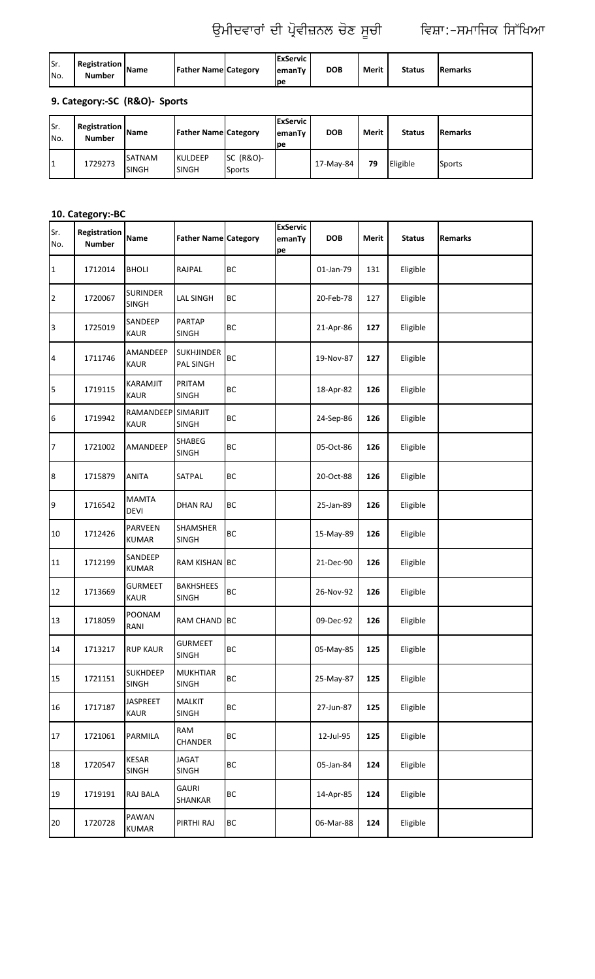| lSr.<br>No. | <b>Registration</b><br><b>Number</b> | <b>IName</b>                  | <b>Father Name Category</b> |                     | <b>ExServic</b><br>emanTy<br>pe | <b>DOB</b> | Merit | <b>Status</b> | <b>Remarks</b> |
|-------------|--------------------------------------|-------------------------------|-----------------------------|---------------------|---------------------------------|------------|-------|---------------|----------------|
|             | 9. Category:-SC (R&O)- Sports        |                               |                             |                     |                                 |            |       |               |                |
| Sr.<br>No.  | <b>Registration</b><br><b>Number</b> | <b>IName</b>                  | <b>Father Name Category</b> |                     | <b>ExServic</b><br>emanTy<br>pe | <b>DOB</b> | Merit | <b>Status</b> | <b>Remarks</b> |
| I1          | 1729273                              | <b>SATNAM</b><br><b>SINGH</b> | <b>KULDEEP</b><br>SINGH     | SC (R&O)-<br>Sports |                                 | 17-May-84  | 79    | Eligible      | Sports         |

### **10. Category:-BC**

| Sr.<br>No.     | Registration<br><b>Number</b> | Name                              | <b>Father Name Category</b>      |           | <b>ExServic</b><br>emanTy<br>pe | <b>DOB</b> | <b>Merit</b> | <b>Status</b> | <b>Remarks</b> |
|----------------|-------------------------------|-----------------------------------|----------------------------------|-----------|---------------------------------|------------|--------------|---------------|----------------|
| $\mathbf{1}$   | 1712014                       | <b>BHOLI</b>                      | RAJPAL                           | BC        |                                 | 01-Jan-79  | 131          | Eligible      |                |
| $\overline{2}$ | 1720067                       | <b>SURINDER</b><br><b>SINGH</b>   | LAL SINGH                        | BC        |                                 | 20-Feb-78  | 127          | Eligible      |                |
| $\overline{3}$ | 1725019                       | SANDEEP<br>KAUR                   | PARTAP<br>SINGH                  | BC        |                                 | 21-Apr-86  | 127          | Eligible      |                |
| 4              | 1711746                       | AMANDEEP<br><b>KAUR</b>           | <b>SUKHJINDER</b><br>PAL SINGH   | BC        |                                 | 19-Nov-87  | 127          | Eligible      |                |
| 5              | 1719115                       | KARAMJIT<br><b>KAUR</b>           | PRITAM<br><b>SINGH</b>           | BC        |                                 | 18-Apr-82  | 126          | Eligible      |                |
| 6              | 1719942                       | RAMANDEEP SIMARJIT<br><b>KAUR</b> | <b>SINGH</b>                     | BC        |                                 | 24-Sep-86  | 126          | Eligible      |                |
| 7              | 1721002                       | AMANDEEP                          | <b>SHABEG</b><br>SINGH           | BC        |                                 | 05-Oct-86  | 126          | Eligible      |                |
| $\bf{8}$       | 1715879                       | <b>ANITA</b>                      | SATPAL                           | ВC        |                                 | 20-Oct-88  | 126          | Eligible      |                |
| 9              | 1716542                       | <b>MAMTA</b><br><b>DEVI</b>       | DHAN RAJ                         | BC        |                                 | 25-Jan-89  | 126          | Eligible      |                |
| 10             | 1712426                       | PARVEEN<br><b>KUMAR</b>           | SHAMSHER<br><b>SINGH</b>         | ВC        |                                 | 15-May-89  | 126          | Eligible      |                |
| 11             | 1712199                       | SANDEEP<br><b>KUMAR</b>           | RAM KISHAN BC                    |           |                                 | 21-Dec-90  | 126          | Eligible      |                |
| 12             | 1713669                       | <b>GURMEET</b><br><b>KAUR</b>     | <b>BAKHSHEES</b><br><b>SINGH</b> | ВC        |                                 | 26-Nov-92  | 126          | Eligible      |                |
| 13             | 1718059                       | POONAM<br>RANI                    | <b>RAM CHAND</b>                 | <b>BC</b> |                                 | 09-Dec-92  | 126          | Eligible      |                |
| 14             | 1713217                       | <b>RUP KAUR</b>                   | <b>GURMEET</b><br>SINGH          | ВC        |                                 | 05-May-85  | 125          | Eligible      |                |
| 15             | 1721151                       | <b>SUKHDEEP</b><br><b>SINGH</b>   | <b>MUKHTIAR</b><br>SINGH         | ВC        |                                 | 25-May-87  | 125          | Eligible      |                |
| 16             | 1717187                       | <b>JASPREET</b><br><b>KAUR</b>    | MALKIT<br>SINGH                  | ВC        |                                 | 27-Jun-87  | 125          | Eligible      |                |
| 17             | 1721061                       | PARMILA                           | RAM<br>CHANDER                   | ВC        |                                 | 12-Jul-95  | 125          | Eligible      |                |
| 18             | 1720547                       | <b>KESAR</b><br>SINGH             | <b>JAGAT</b><br>SINGH            | ВC        |                                 | 05-Jan-84  | 124          | Eligible      |                |
| 19             | 1719191                       | <b>RAJ BALA</b>                   | <b>GAURI</b><br>SHANKAR          | ВC        |                                 | 14-Apr-85  | 124          | Eligible      |                |
| 20             | 1720728                       | PAWAN<br><b>KUMAR</b>             | PIRTHI RAJ                       | ВC        |                                 | 06-Mar-88  | 124          | Eligible      |                |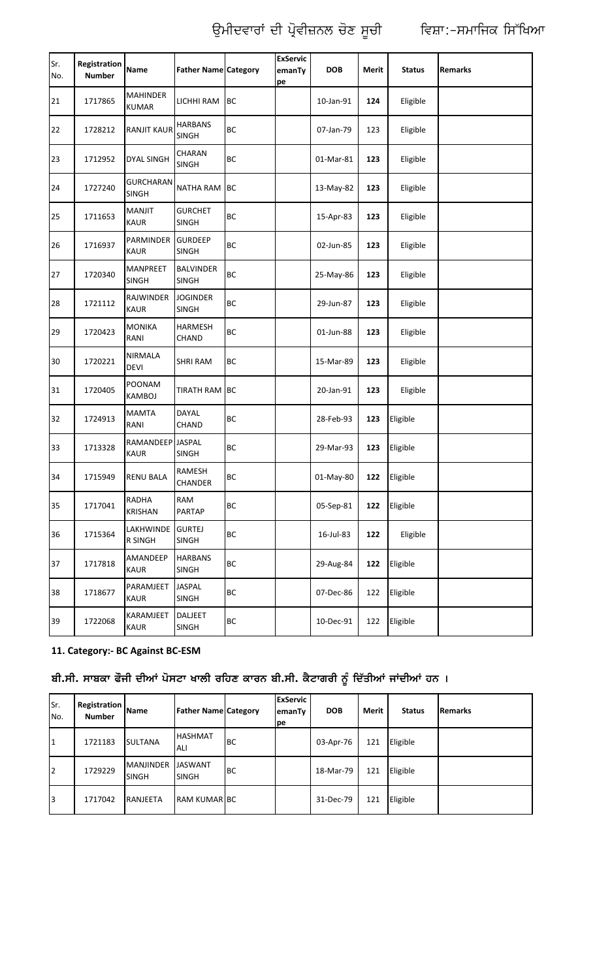| Sr.<br>No. | Registration<br><b>Number</b> | Name                             | <b>Father Name Category</b>      |           | <b>ExServic</b><br>emanTy<br>pe | <b>DOB</b> | Merit | <b>Status</b> | <b>Remarks</b> |
|------------|-------------------------------|----------------------------------|----------------------------------|-----------|---------------------------------|------------|-------|---------------|----------------|
| 21         | 1717865                       | <b>MAHINDER</b><br><b>KUMAR</b>  | LICHHI RAM                       | BC        |                                 | 10-Jan-91  | 124   | Eligible      |                |
| 22         | 1728212                       | <b>RANJIT KAUR</b>               | <b>HARBANS</b><br><b>SINGH</b>   | ВC        |                                 | 07-Jan-79  | 123   | Eligible      |                |
| 23         | 1712952                       | <b>DYAL SINGH</b>                | CHARAN<br><b>SINGH</b>           | ВC        |                                 | 01-Mar-81  | 123   | Eligible      |                |
| 24         | 1727240                       | <b>GURCHARAN</b><br><b>SINGH</b> | NATHA RAM                        | BC        |                                 | 13-May-82  | 123   | Eligible      |                |
| 25         | 1711653                       | <b>MANJIT</b><br><b>KAUR</b>     | <b>GURCHET</b><br>SINGH          | <b>BC</b> |                                 | 15-Apr-83  | 123   | Eligible      |                |
| 26         | 1716937                       | <b>PARMINDER</b><br><b>KAUR</b>  | <b>GURDEEP</b><br>SINGH          | <b>BC</b> |                                 | 02-Jun-85  | 123   | Eligible      |                |
| 27         | 1720340                       | <b>MANPREET</b><br><b>SINGH</b>  | <b>BALVINDER</b><br><b>SINGH</b> | <b>BC</b> |                                 | 25-May-86  | 123   | Eligible      |                |
| 28         | 1721112                       | <b>RAJWINDER</b><br><b>KAUR</b>  | <b>JOGINDER</b><br>SINGH         | BC        |                                 | 29-Jun-87  | 123   | Eligible      |                |
| 29         | 1720423                       | <b>MONIKA</b><br>RANI            | <b>HARMESH</b><br>CHAND          | <b>BC</b> |                                 | 01-Jun-88  | 123   | Eligible      |                |
| 30         | 1720221                       | <b>NIRMALA</b><br><b>DEVI</b>    | <b>SHRI RAM</b>                  | <b>BC</b> |                                 | 15-Mar-89  | 123   | Eligible      |                |
| 31         | 1720405                       | <b>POONAM</b><br><b>KAMBOJ</b>   | TIRATH RAM BC                    |           |                                 | 20-Jan-91  | 123   | Eligible      |                |
| 32         | 1724913                       | <b>MAMTA</b><br>RANI             | <b>DAYAL</b><br>CHAND            | BC        |                                 | 28-Feb-93  | 123   | Eligible      |                |
| 33         | 1713328                       | RAMANDEEP JASPAL<br><b>KAUR</b>  | <b>SINGH</b>                     | BC        |                                 | 29-Mar-93  | 123   | Eligible      |                |
| 34         | 1715949                       | <b>RENU BALA</b>                 | RAMESH<br>CHANDER                | BC        |                                 | 01-May-80  | 122   | Eligible      |                |
| 35         | 1717041                       | <b>RADHA</b><br><b>KRISHAN</b>   | RAM<br>PARTAP                    | ВC        |                                 | 05-Sep-81  | 122   | Eligible      |                |
| 36         | 1715364                       | LAKHWINDE<br>R SINGH             | <b>GURTEJ</b><br>SINGH           | ВC        |                                 | 16-Jul-83  | 122   | Eligible      |                |
| 37         | 1717818                       | AMANDEEP<br><b>KAUR</b>          | <b>HARBANS</b><br>SINGH          | ВC        |                                 | 29-Aug-84  | 122   | Eligible      |                |
| 38         | 1718677                       | PARAMJEET<br><b>KAUR</b>         | <b>JASPAL</b><br>SINGH           | ВC        |                                 | 07-Dec-86  | 122   | Eligible      |                |
| 39         | 1722068                       | KARAMJEET<br><b>KAUR</b>         | <b>DALJEET</b><br>SINGH          | BC        |                                 | 10-Dec-91  | 122   | Eligible      |                |

### **11. Category:- BC Against BC-ESM**

## ਬੀ.ਸੀ. ਸਾਬਕਾ ਫੌਜੀ ਦੀਆਂ ਪੋਸਟਾ ਖਾਲੀ ਰਹਿਣ ਕਾਰਨ ਬੀ.ਸੀ. ਕੈਟਾਗਰੀ ਨੂੰ ਦਿੱਤੀਆਂ ਜਾਂਦੀਆਂ ਹਨ ।

| Sr.<br>No. | <b>Registration</b><br><b>Number</b> | <b>IName</b>              | <b>Father Name Category</b> |           | <b>ExServic</b><br><b>lemanTv</b><br> pe | <b>DOB</b> | <b>Merit</b> | <b>Status</b> | <b>I</b> Remarks |
|------------|--------------------------------------|---------------------------|-----------------------------|-----------|------------------------------------------|------------|--------------|---------------|------------------|
| 1          | 1721183                              | <b>SULTANA</b>            | <b>HASHMAT</b><br>ALI       | <b>BC</b> |                                          | 03-Apr-76  | 121          | Eligible      |                  |
| 12         | 1729229                              | <b>MANJINDER</b><br>SINGH | <b>JASWANT</b><br>SINGH     | <b>BC</b> |                                          | 18-Mar-79  | 121          | Eligible      |                  |
| l3         | 1717042                              | <b>RANJEETA</b>           | <b>RAM KUMAR BC</b>         |           |                                          | 31-Dec-79  | 121          | Eligible      |                  |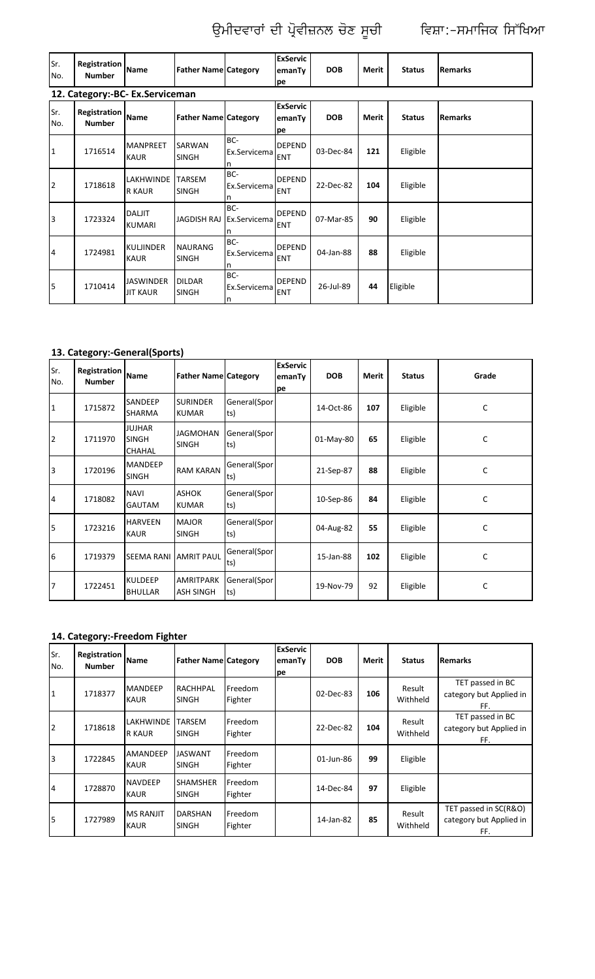| Sr.<br>No.     | Registration<br><b>Number</b>             | <b>Name</b>                         | <b>Father Name Category</b>    |                          | <b>ExServic</b><br>emanTy<br>pe | <b>DOB</b> | Merit        | <b>Status</b> | <b>Remarks</b> |
|----------------|-------------------------------------------|-------------------------------------|--------------------------------|--------------------------|---------------------------------|------------|--------------|---------------|----------------|
|                | 12. Category:-BC- Ex.Serviceman           |                                     |                                |                          |                                 |            |              |               |                |
| Sr.<br>No.     | <b>Registration</b> Name<br><b>Number</b> |                                     | <b>Father Name Category</b>    |                          | <b>ExServic</b><br>emanTy<br>pe | <b>DOB</b> | <b>Merit</b> | <b>Status</b> | <b>Remarks</b> |
| $\mathbf{1}$   | 1716514                                   | <b>MANPREET</b><br><b>KAUR</b>      | SARWAN<br>SINGH                | BC-<br>Ex.Servicema<br>n | <b>DEPEND</b><br><b>ENT</b>     | 03-Dec-84  | 121          | Eligible      |                |
| $\overline{2}$ | 1718618                                   | <b>LAKHWINDE</b><br><b>R KAUR</b>   | TARSEM<br><b>SINGH</b>         | BC-<br>Ex.Servicema<br>n | <b>DEPEND</b><br><b>ENT</b>     | 22-Dec-82  | 104          | Eligible      |                |
| 3              | 1723324                                   | <b>DALJIT</b><br><b>KUMARI</b>      | <b>JAGDISH RAJ</b>             | BC-<br>Ex.Servicema      | <b>DEPEND</b><br><b>ENT</b>     | 07-Mar-85  | 90           | Eligible      |                |
| $\overline{4}$ | 1724981                                   | <b>KULJINDER</b><br><b>KAUR</b>     | <b>NAURANG</b><br><b>SINGH</b> | BC-<br>Ex.Servicema<br>n | <b>DEPEND</b><br><b>ENT</b>     | 04-Jan-88  | 88           | Eligible      |                |
| 5              | 1710414                                   | <b>JASWINDER</b><br><b>JIT KAUR</b> | <b>DILDAR</b><br><b>SINGH</b>  | BC-<br>Ex.Servicema<br>n | <b>DEPEND</b><br><b>ENT</b>     | 26-Jul-89  | 44           | Eligible      |                |

#### **13. Category:-General(Sports)**

| Sr.<br>No.              | Registration<br><b>Number</b> | Name                                           | <b>Father Name Category</b>          |                     | <b>ExServic</b><br>emanTy<br>pe | <b>DOB</b> | <b>Merit</b> | <b>Status</b> | Grade |
|-------------------------|-------------------------------|------------------------------------------------|--------------------------------------|---------------------|---------------------------------|------------|--------------|---------------|-------|
| $\mathbf{1}$            | 1715872                       | SANDEEP<br><b>SHARMA</b>                       | <b>SURINDER</b><br><b>KUMAR</b>      | General(Spor<br>ts) |                                 | 14-Oct-86  | 107          | Eligible      | C     |
| $\overline{2}$          | 1711970                       | <b>JUJHAR</b><br><b>SINGH</b><br><b>CHAHAL</b> | <b>JAGMOHAN</b><br><b>SINGH</b>      | General(Spor<br>ts) |                                 | 01-May-80  | 65           | Eligible      | C     |
| $\overline{\mathbf{3}}$ | 1720196                       | <b>MANDEEP</b><br><b>SINGH</b>                 | <b>RAM KARAN</b>                     | General(Spor<br>ts) |                                 | 21-Sep-87  | 88           | Eligible      | C     |
| $\overline{4}$          | 1718082                       | <b>NAVI</b><br><b>GAUTAM</b>                   | <b>ASHOK</b><br><b>KUMAR</b>         | General(Spor<br>ts) |                                 | 10-Sep-86  | 84           | Eligible      | C     |
| 5                       | 1723216                       | <b>HARVEEN</b><br><b>KAUR</b>                  | <b>MAJOR</b><br><b>SINGH</b>         | General(Spor<br>ts) |                                 | 04-Aug-82  | 55           | Eligible      | C     |
| 6                       | 1719379                       | <b>SEEMA RANI</b>                              | <b>AMRIT PAUL</b>                    | General(Spor<br>ts) |                                 | 15-Jan-88  | 102          | Eligible      | C     |
| 7                       | 1722451                       | <b>KULDEEP</b><br><b>BHULLAR</b>               | <b>AMRITPARK</b><br><b>ASH SINGH</b> | General(Spor<br>ts) |                                 | 19-Nov-79  | 92           | Eligible      | C     |

#### **14. Category:-Freedom Fighter**

| Sr.<br>No.     | Registration<br><b>Number</b> | <b>Name</b>                     | <b>Father Name Category</b> |                    | <b>ExServic</b><br>emanTy<br>pe | <b>DOB</b>   | Merit | <b>Status</b>      | <b>Remarks</b>                                          |
|----------------|-------------------------------|---------------------------------|-----------------------------|--------------------|---------------------------------|--------------|-------|--------------------|---------------------------------------------------------|
|                | 1718377                       | <b>MANDEEP</b><br><b>KAUR</b>   | RACHHPAL<br>SINGH           | Freedom<br>Fighter |                                 | $02$ -Dec-83 | 106   | Result<br>Withheld | TET passed in BC<br>category but Applied in<br>FF.      |
| 2              | 1718618                       | LAKHWINDE<br>R KAUR             | TARSEM<br>SINGH             | Freedom<br>Fighter |                                 | 22-Dec-82    | 104   | Result<br>Withheld | TET passed in BC<br>category but Applied in<br>FF.      |
| 3              | 1722845                       | AMANDEEP<br><b>KAUR</b>         | <b>JASWANT</b><br>SINGH     | Freedom<br>Fighter |                                 | 01-Jun-86    | 99    | Eligible           |                                                         |
| $\overline{4}$ | 1728870                       | <b>NAVDEEP</b><br><b>KAUR</b>   | <b>SHAMSHER</b><br>SINGH    | Freedom<br>Fighter |                                 | 14-Dec-84    | 97    | Eligible           |                                                         |
| 5              | 1727989                       | <b>MS RANJIT</b><br><b>KAUR</b> | <b>DARSHAN</b><br>SINGH     | Freedom<br>Fighter |                                 | 14-Jan-82    | 85    | Result<br>Withheld | TET passed in SC(R&O)<br>category but Applied in<br>FF. |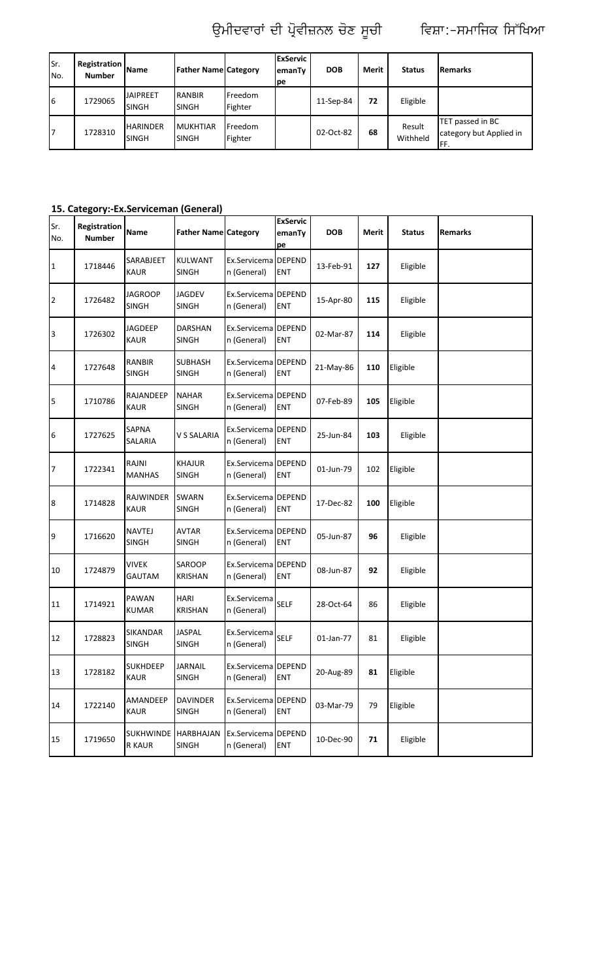| lSr.<br>No. | <b>Registration</b><br><b>Number</b> | <b>I</b> Name                   | <b>Father Name Category</b> |                    | <b>IExServic</b><br><b>emanTy</b><br>lpe. | <b>DOB</b> | Merit | <b>Status</b>      | <b>Remarks</b>                                      |
|-------------|--------------------------------------|---------------------------------|-----------------------------|--------------------|-------------------------------------------|------------|-------|--------------------|-----------------------------------------------------|
| 16          | 1729065                              | <b>JAIPREET</b><br><b>SINGH</b> | <b>RANBIR</b><br>SINGH      | Freedom<br>Fighter |                                           | 11-Sep-84  | 72    | Eligible           |                                                     |
| 17          | 1728310                              | <b>HARINDER</b><br><b>SINGH</b> | <b>MUKHTIAR</b><br>SINGH    | Freedom<br>Fighter |                                           | 02-Oct-82  | 68    | Result<br>Withheld | TET passed in BC<br>category but Applied in<br>'FF. |

### **15. Category:-Ex.Serviceman (General)**

| Sr.<br>No.       | Registration<br><b>Number</b> | Name                           | <b>Father Name Category</b>     |                                    | <b>ExServic</b><br>emanTy<br>pe | <b>DOB</b> | Merit | <b>Status</b> | Remarks |
|------------------|-------------------------------|--------------------------------|---------------------------------|------------------------------------|---------------------------------|------------|-------|---------------|---------|
| 1                | 1718446                       | SARABJEET<br><b>KAUR</b>       | <b>KULWANT</b><br><b>SINGH</b>  | Ex.Servicema DEPEND<br>n (General) | <b>ENT</b>                      | 13-Feb-91  | 127   | Eligible      |         |
| $\overline{2}$   | 1726482                       | <b>JAGROOP</b><br><b>SINGH</b> | <b>JAGDEV</b><br><b>SINGH</b>   | Ex.Servicema DEPEND<br>n (General) | <b>ENT</b>                      | 15-Apr-80  | 115   | Eligible      |         |
| $\overline{3}$   | 1726302                       | JAGDEEP<br><b>KAUR</b>         | <b>DARSHAN</b><br><b>SINGH</b>  | Ex.Servicema DEPEND<br>n (General) | <b>ENT</b>                      | 02-Mar-87  | 114   | Eligible      |         |
| $\overline{a}$   | 1727648                       | <b>RANBIR</b><br><b>SINGH</b>  | SUBHASH<br><b>SINGH</b>         | Ex.Servicema DEPEND<br>n (General) | ENT                             | 21-May-86  | 110   | Eligible      |         |
| 5                | 1710786                       | RAJANDEEP<br><b>KAUR</b>       | <b>NAHAR</b><br>SINGH           | Ex.Servicema DEPEND<br>n (General) | ENT                             | 07-Feb-89  | 105   | Eligible      |         |
| $6\phantom{.}6$  | 1727625                       | SAPNA<br>SALARIA               | V S SALARIA                     | Ex.Servicema DEPEND<br>n (General) | <b>ENT</b>                      | 25-Jun-84  | 103   | Eligible      |         |
| 7                | 1722341                       | RAJNI<br><b>MANHAS</b>         | <b>KHAJUR</b><br><b>SINGH</b>   | Ex.Servicema DEPEND<br>n (General) | ENT                             | 01-Jun-79  | 102   | Eligible      |         |
| $\boldsymbol{8}$ | 1714828                       | RAJWINDER<br>KAUR              | <b>SWARN</b><br><b>SINGH</b>    | Ex.Servicema DEPEND<br>n (General) | ENT                             | 17-Dec-82  | 100   | Eligible      |         |
| 9                | 1716620                       | <b>NAVTEJ</b><br><b>SINGH</b>  | AVTAR<br><b>SINGH</b>           | Ex.Servicema DEPEND<br>n (General) | ENT                             | 05-Jun-87  | 96    | Eligible      |         |
| 10               | 1724879                       | <b>VIVEK</b><br>GAUTAM         | SAROOP<br>KRISHAN               | Ex.Servicema DEPEND<br>n (General) | ENT                             | 08-Jun-87  | 92    | Eligible      |         |
| 11               | 1714921                       | PAWAN<br><b>KUMAR</b>          | <b>HARI</b><br><b>KRISHAN</b>   | Ex.Servicema<br>n (General)        | <b>SELF</b>                     | 28-Oct-64  | 86    | Eligible      |         |
| 12               | 1728823                       | SIKANDAR<br><b>SINGH</b>       | <b>JASPAL</b><br><b>SINGH</b>   | Ex.Servicema<br>n (General)        | <b>SELF</b>                     | 01-Jan-77  | 81    | Eligible      |         |
| 13               | 1728182                       | <b>SUKHDEEP</b><br>KAUR        | <b>JARNAIL</b><br><b>SINGH</b>  | Ex.Servicema DEPEND<br>n (General) | ENT                             | 20-Aug-89  | 81    | Eligible      |         |
| 14               | 1722140                       | AMANDEEP<br>KAUR               | <b>DAVINDER</b><br><b>SINGH</b> | Ex.Servicema DEPEND<br>n (General) | <b>ENT</b>                      | 03-Mar-79  | 79    | Eligible      |         |
| 15               | 1719650                       | <b>SUKHWINDE</b><br>R KAUR     | HARBHAJAN<br>SINGH              | Ex.Servicema DEPEND<br>n (General) | ENT                             | 10-Dec-90  | 71    | Eligible      |         |